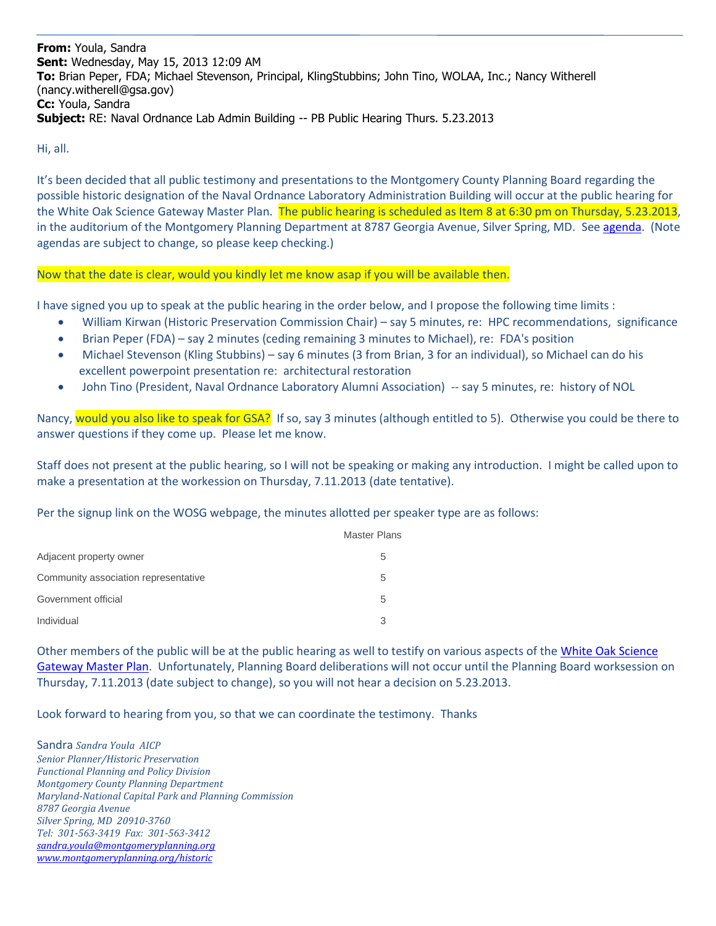**From:** Youla, Sandra **Sent:** Wednesday, May 15, 2013 12:09 AM **To:** Brian Peper, FDA; Michael Stevenson, Principal, KlingStubbins; John Tino, WOLAA, Inc.; Nancy Witherell (nancy.witherell@gsa.gov) **Cc:** Youla, Sandra **Subject:** RE: Naval Ordnance Lab Admin Building -- PB Public Hearing Thurs. 5.23.2013

Hi, all.

It's been decided that all public testimony and presentations to the Montgomery County Planning Board regarding the possible historic designation of the Naval Ordnance Laboratory Administration Building will occur at the public hearing for the White Oak Science Gateway Master Plan. The public hearing is scheduled as Item 8 at 6:30 pm on Thursday, 5.23.2013, in the auditorium of the Montgomery Planning Department at 8787 Georgia Avenue, Silver Spring, MD. Se[e agenda.](http://www.montgomeryplanningboard.org/agenda/2013/agenda20130523e.html) (Note agendas are subject to change, so please keep checking.)

## Now that the date is clear, would you kindly let me know asap if you will be available then.

I have signed you up to speak at the public hearing in the order below, and I propose the following time limits :

- William Kirwan (Historic Preservation Commission Chair) say 5 minutes, re: HPC recommendations, significance
- Brian Peper (FDA) say 2 minutes (ceding remaining 3 minutes to Michael), re: FDA's position
- Michael Stevenson (Kling Stubbins) say 6 minutes (3 from Brian, 3 for an individual), so Michael can do his excellent powerpoint presentation re: architectural restoration
- John Tino (President, Naval Ordnance Laboratory Alumni Association) -- say 5 minutes, re: history of NOL

Nancy, would you also like to speak for GSA? If so, say 3 minutes (although entitled to 5). Otherwise you could be there to answer questions if they come up. Please let me know.

Staff does not present at the public hearing, so I will not be speaking or making any introduction. I might be called upon to make a presentation at the workession on Thursday, 7.11.2013 (date tentative).

Per the signup link on the WOSG webpage, the minutes allotted per speaker type are as follows:

|                                      | <b>Master Plans</b> |
|--------------------------------------|---------------------|
| Adjacent property owner              | 5                   |
| Community association representative | 5                   |
| Government official                  | 5                   |
| Individual                           |                     |

Other members of the public will be at the public hearing as well to testify on various aspects of the White Oak Science [Gateway Master Plan.](http://www.montgomeryplanning.org/community/wosg/) Unfortunately, Planning Board deliberations will not occur until the Planning Board worksession on Thursday, 7.11.2013 (date subject to change), so you will not hear a decision on 5.23.2013.

Look forward to hearing from you, so that we can coordinate the testimony. Thanks

Sandra *Sandra Youla AICP Senior Planner/Historic Preservation Functional Planning and Policy Division Montgomery County Planning Department Maryland-National Capital Park and Planning Commission 8787 Georgia Avenue Silver Spring, MD 20910-3760 Tel: 301-563-3419 Fax: 301-563-3412 [sandra.youla@montgomeryplanning.org](mailto:sandra.youla@montgomeryplanning.org) [www.montgomeryplanning.org/historic](http://www.montgomeryplanning.org/historic)*